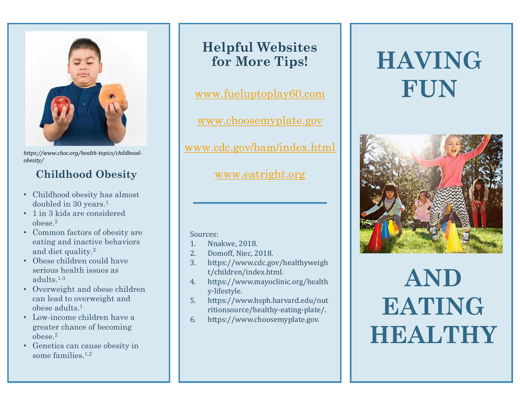

*https://www.choc.org/health-topics/childhoodobesity/*

## **Childhood Obesity**

- Childhood obesity has almost doubled in 30 years.<sup>1</sup>
- 1 in 3 kids are considered  $\theta$
- Common factors of obesity are eating and inactive behaviors and diet quality.<sup>2</sup>
- Obese children could have serious health issues as adults.1-3
- Overweight and obese children can lead to overweight and obese adults.<sup>1</sup>
- Low-income children have a greater chance of becoming obese.<sup>2</sup>
- Genetics can cause obesity in some families  $1,2$

# **Helpful Websites for More Tips!**

[www.fueluptoplay60.com](http://www.fueluptoplay60.com/)

[www.choosemyplate.gov](http://www.choosemyplate.gov/)

[www.cdc.gov/bam/index.html](http://www.cdc.gov/bam/index.html)

[www.eatright.org](http://www.eatright.org/)

#### Sources:

- 1. Nnakwe, 2018.
- 2. Domoff, Niec, 2018.
- 3. https://www.cdc.gov/healthyweigh t/children/index.html.
- 4. https://www.mayoclinic.org/health y-lifestyle.
- 5. https://www.hsph.harvard.edu/nut ritionsource/healthy-eating-plate/.
- 6. https://www.choosemyplate.gov.

# **HAVING FUN**



# **AND EATING HEALTHY**